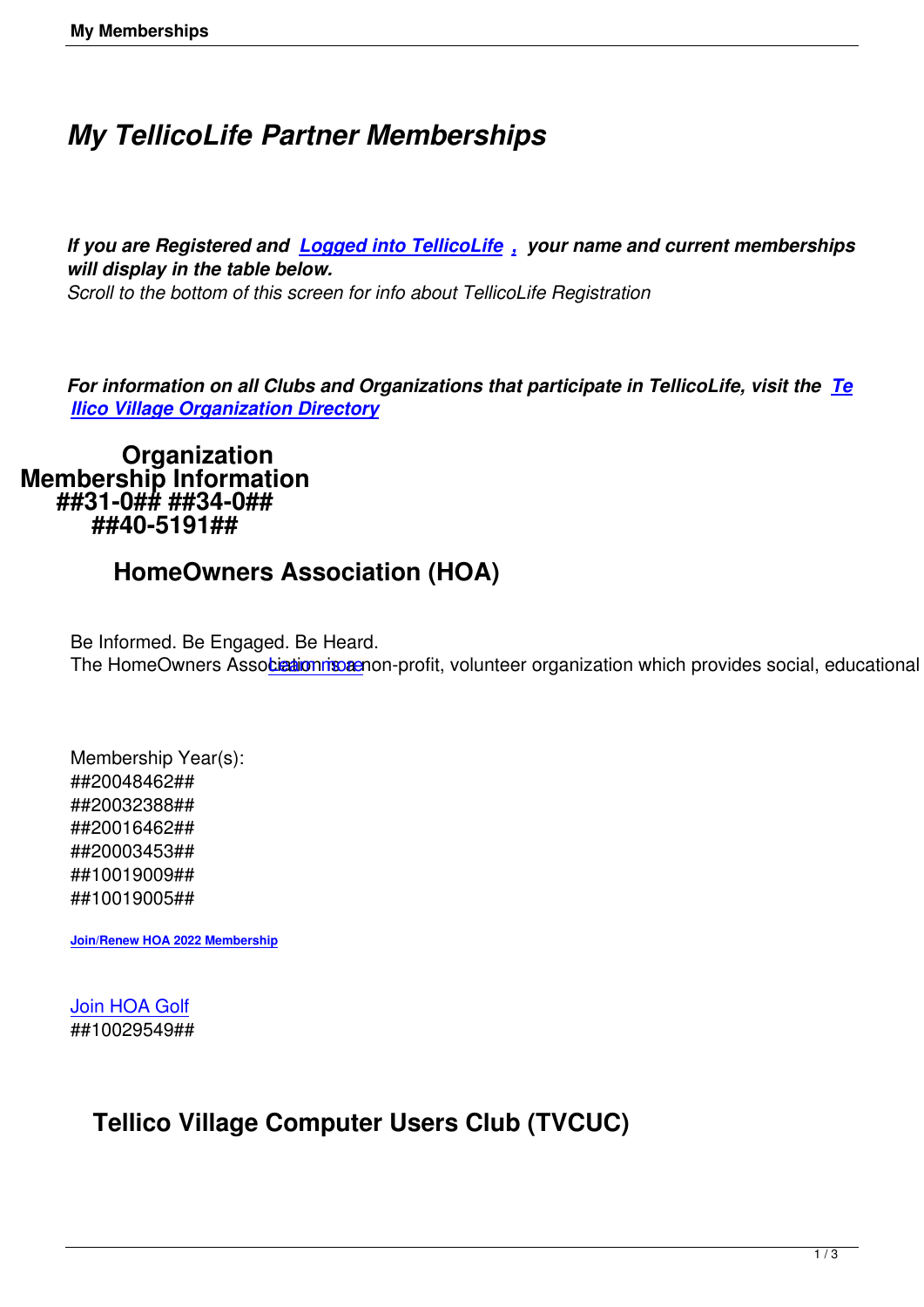# *My TellicoLife Partner Memberships*

*If you are Registered and Logged into TellicoLife , your name and current memberships will display in the table below.* 

*Scroll to the bottom of this screen for info about TellicoLife Registration*

*For information on all Clubs and Organizations that participate in TellicoLife, visit the Te llico Village Organization Directory*

 **Organization Me[mbership Information](/village-directory) ##31-0## ##34-0## ##40-5191##**

## **HomeOwners Association (HOA)**

Be Informed. Be Engaged. Be Heard. The HomeOwners Association is a non-profit, volunteer organization which provides social, educational and

Membership Year(s): ##20048462## ##20032388## ##20016462## ##20003453## ##10019009## ##10019005##

**Join/Renew HOA 2022 Membership**

[Join HOA Golf](https://tvlife.memberclicks.net/index.php?option=com_mcform&view=ngforms&id=2101335) ##10029549##

## **Tellico Village Computer Users Club (TVCUC)**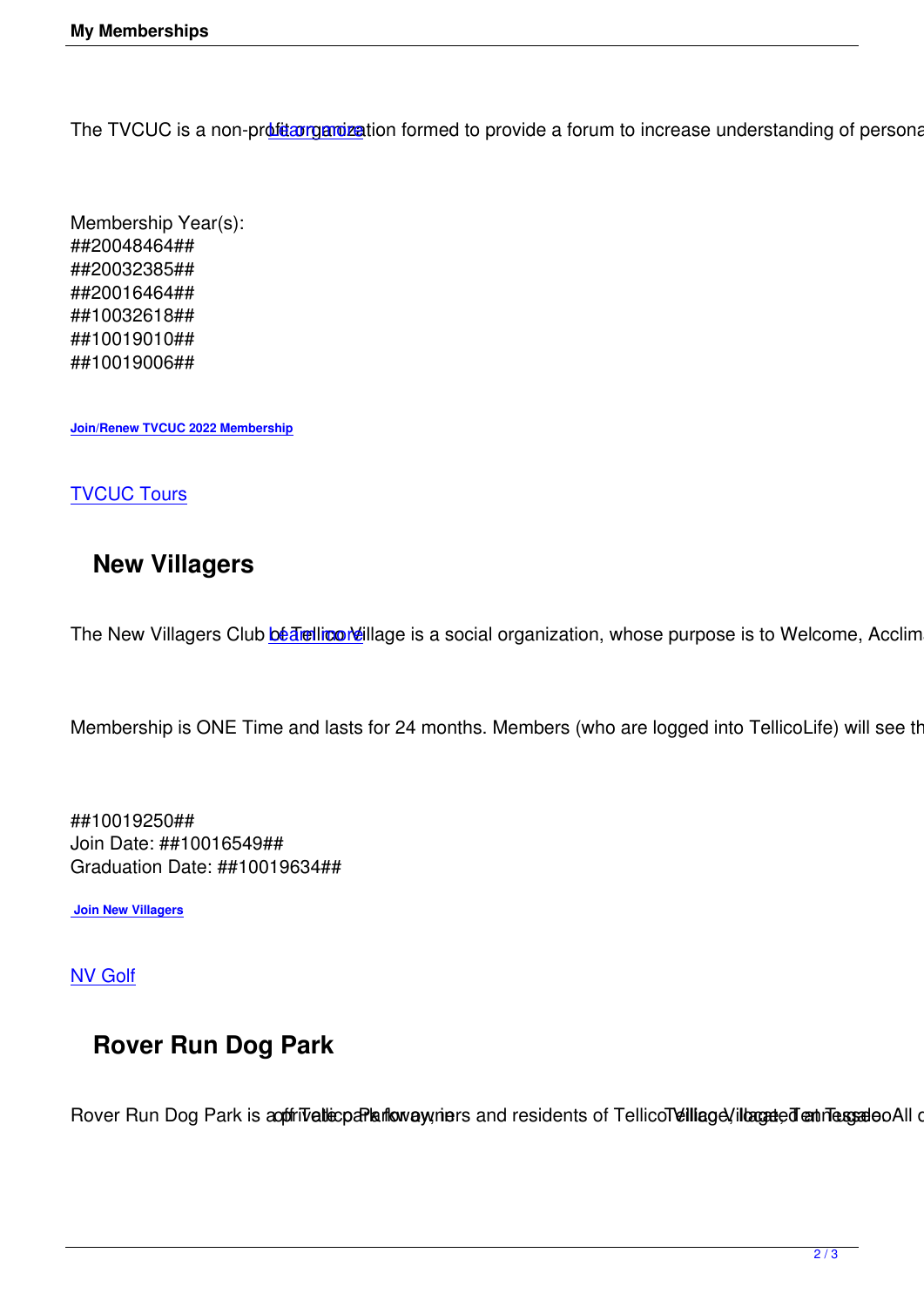The TVCUC is a non-profitarganization formed to provide a forum to increase understanding of personal computers

Membership Year(s): ##20048464## ##20032385## ##20016464## ##10032618## ##10019010## ##10019006##

**Join/Renew TVCUC 2022 Membership**

#### **[TVCUC Tours](https://tvlife.memberclicks.net/index.php?option=com_mcform&view=ngforms&id=2102188)**

### **[New Vill](https://www.tvcuc.org/tours-2/)agers**

The New Villagers Club **bé Trellico Veillage** is a social organization, whose purpose is to Welcome, Acclimate

Membership is ONE Ti[me and lasts](/nv--home-page) for 24 months. Members (who are logged into TellicoLife) will see their

##10019250## Join Date: ##10016549## Graduation Date: ##10019634##

 **Join New Villagers**

[NV Golf](/index.php?option=com_mcform&view=ngforms&id=2018617)

## **[Rov](/nv-golf-home)er Run Dog Park**

Rover Run Dog Park is apprivational language and residents of Tellicollellage /illamated and respace All dog